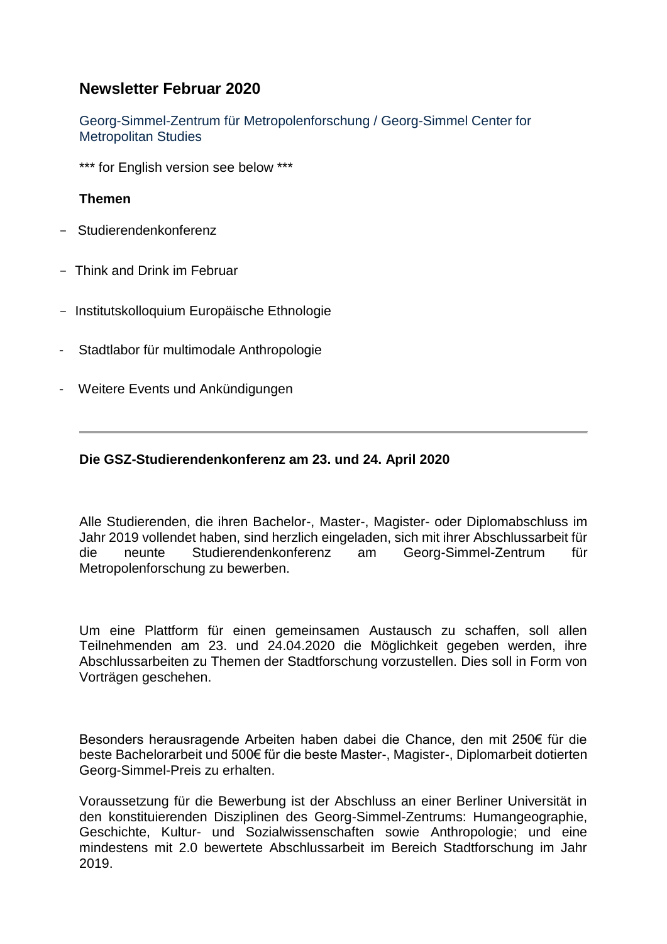# **Newsletter Februar 2020**

Georg-Simmel-Zentrum für Metropolenforschung / Georg-Simmel Center for Metropolitan Studies

\*\*\* for English version see below \*\*\*

#### **Themen**

- Studierendenkonferenz
- Think and Drink im Februar
- Institutskolloquium Europäische Ethnologie
- Stadtlabor für multimodale Anthropologie
- Weitere Events und Ankündigungen

#### **Die GSZ-Studierendenkonferenz am 23. und 24. April 2020**

Alle Studierenden, die ihren Bachelor-, Master-, Magister- oder Diplomabschluss im Jahr 2019 vollendet haben, sind herzlich eingeladen, sich mit ihrer Abschlussarbeit für die neunte Studierendenkonferenz am Georg-Simmel-Zentrum für Metropolenforschung zu bewerben.

Um eine Plattform für einen gemeinsamen Austausch zu schaffen, soll allen Teilnehmenden am 23. und 24.04.2020 die Möglichkeit gegeben werden, ihre Abschlussarbeiten zu Themen der Stadtforschung vorzustellen. Dies soll in Form von Vorträgen geschehen.

Besonders herausragende Arbeiten haben dabei die Chance, den mit 250€ für die beste Bachelorarbeit und 500€ für die beste Master-, Magister-, Diplomarbeit dotierten Georg-Simmel-Preis zu erhalten.

Voraussetzung für die Bewerbung ist der Abschluss an einer Berliner Universität in den konstituierenden Disziplinen des Georg-Simmel-Zentrums: Humangeographie, Geschichte, Kultur- und Sozialwissenschaften sowie Anthropologie; und eine mindestens mit 2.0 bewertete Abschlussarbeit im Bereich Stadtforschung im Jahr 2019.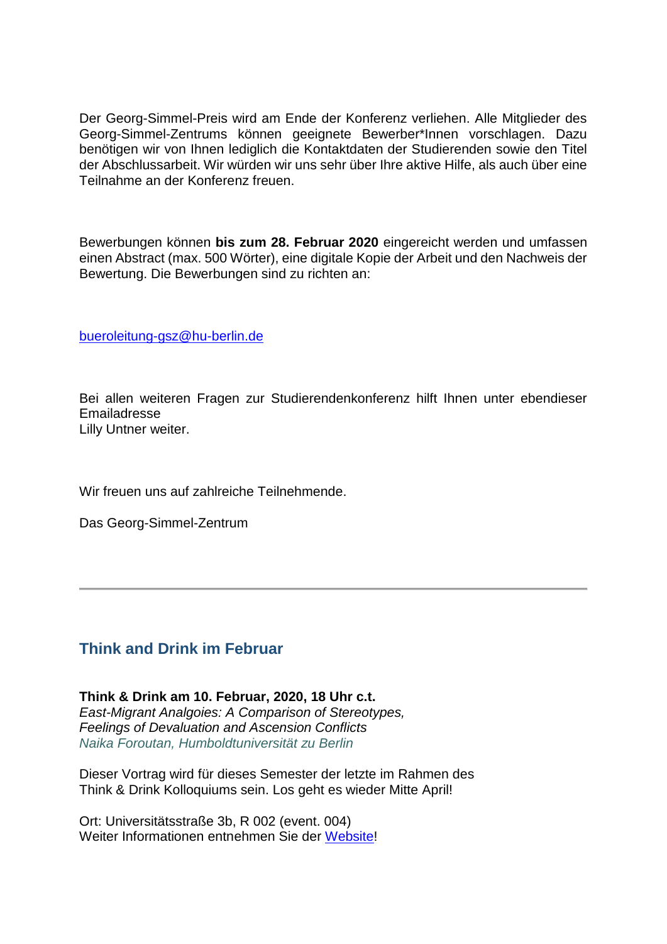Der Georg-Simmel-Preis wird am Ende der Konferenz verliehen. Alle Mitglieder des Georg-Simmel-Zentrums können geeignete Bewerber\*Innen vorschlagen. Dazu benötigen wir von Ihnen lediglich die Kontaktdaten der Studierenden sowie den Titel der Abschlussarbeit. Wir würden wir uns sehr über Ihre aktive Hilfe, als auch über eine Teilnahme an der Konferenz freuen.

Bewerbungen können **bis zum 28. Februar 2020** eingereicht werden und umfassen einen Abstract (max. 500 Wörter), eine digitale Kopie der Arbeit und den Nachweis der Bewertung. Die Bewerbungen sind zu richten an:

[bueroleitung-gsz@hu-berlin.de](mailto:bueroleitung-gsz@hu-berlin.de)

Bei allen weiteren Fragen zur Studierendenkonferenz hilft Ihnen unter ebendieser Emailadresse Lilly Untner weiter.

Wir freuen uns auf zahlreiche Teilnehmende.

Das Georg-Simmel-Zentrum

## **Think and Drink im Februar**

**Think & Drink am 10. Februar, 2020, 18 Uhr c.t.** *East-Migrant Analgoies: A Comparison of Stereotypes, Feelings of Devaluation and Ascension Conflicts Naika Foroutan, Humboldtuniversität zu Berlin*

Dieser Vortrag wird für dieses Semester der letzte im Rahmen des Think & Drink Kolloquiums sein. Los geht es wieder Mitte April!

Ort: Universitätsstraße 3b, R 002 (event. 004) Weiter Informationen entnehmen Sie der [Website!](https://www.sowi.hu-berlin.de/de/lehrbereiche/stadtsoz/think_drink/wintersemester19)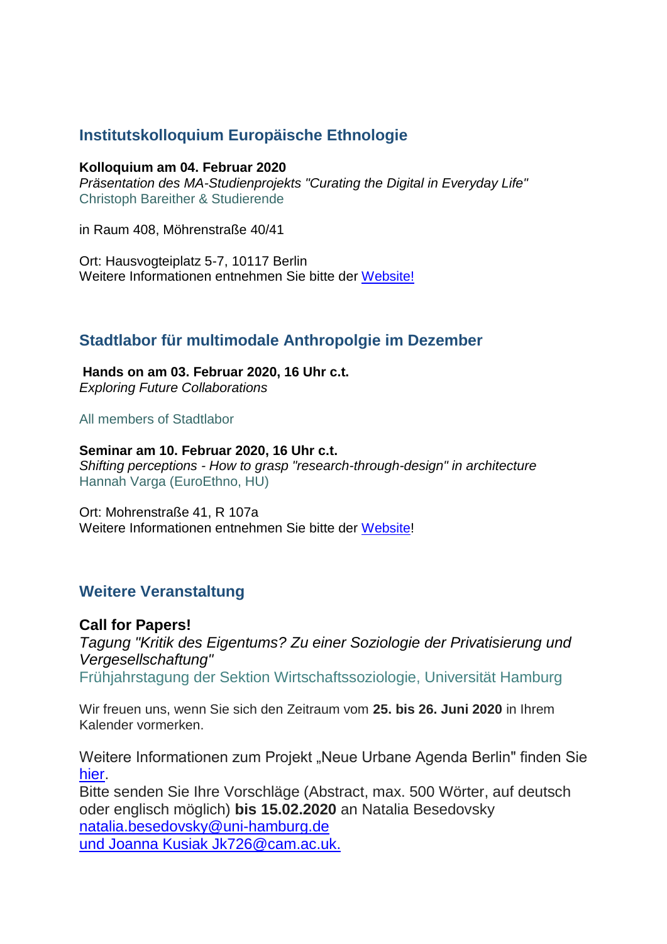# **Institutskolloquium Europäische Ethnologie**

#### **Kolloquium am 04. Februar 2020**

*Präsentation des MA-Studienprojekts "Curating the Digital in Everyday Life"* Christoph Bareither & Studierende

in Raum 408, Möhrenstraße 40/41

Ort: Hausvogteiplatz 5-7, 10117 Berlin Weitere Informationen entnehmen Sie bitte der [Website!](https://www.euroethno.hu-berlin.de/de/institut/kolloquium)

## **Stadtlabor für multimodale Anthropolgie im Dezember**

**Hands on am 03. Februar 2020, 16 Uhr c.t.** *Exploring Future Collaborations*

All members of Stadtlabor

**Seminar am 10. Februar 2020, 16 Uhr c.t.** *Shifting perceptions - How to grasp "research-through-design" in architecture* Hannah Varga (EuroEthno, HU)

Ort: Mohrenstraße 41, R 107a Weitere Informationen entnehmen Sie bitte der [Website!](https://www.euroethno.hu-berlin.de/de/forschung/labore/stadt)

## **Weitere Veranstaltung**

**Call for Papers!** *Tagung "Kritik des Eigentums? Zu einer Soziologie der Privatisierung und Vergesellschaftung"* Frühjahrstagung der Sektion Wirtschaftssoziologie, Universität Hamburg

Wir freuen uns, wenn Sie sich den Zeitraum vom **25. bis 26. Juni 2020** in Ihrem Kalender vormerken.

Weitere Informationen zum Projekt "Neue Urbane Agenda Berlin" finden Sie [hier.](https://www.transdis.tu-berlin.de/menue/neue_urbane_agenda_berlin/)

Bitte senden Sie Ihre Vorschläge (Abstract, max. 500 Wörter, auf deutsch oder englisch möglich) **bis 15.02.2020** an Natalia Besedovsk[y](https://webmail.cms.hu-berlin.de/roundcubemail/#NOP) [natalia.besedovsky@uni-hamburg.de](https://webmail.cms.hu-berlin.de/roundcubemail/#NOP) [und Joanna Kusiak Jk726@cam.ac.uk.](https://webmail.cms.hu-berlin.de/roundcubemail/#NOP)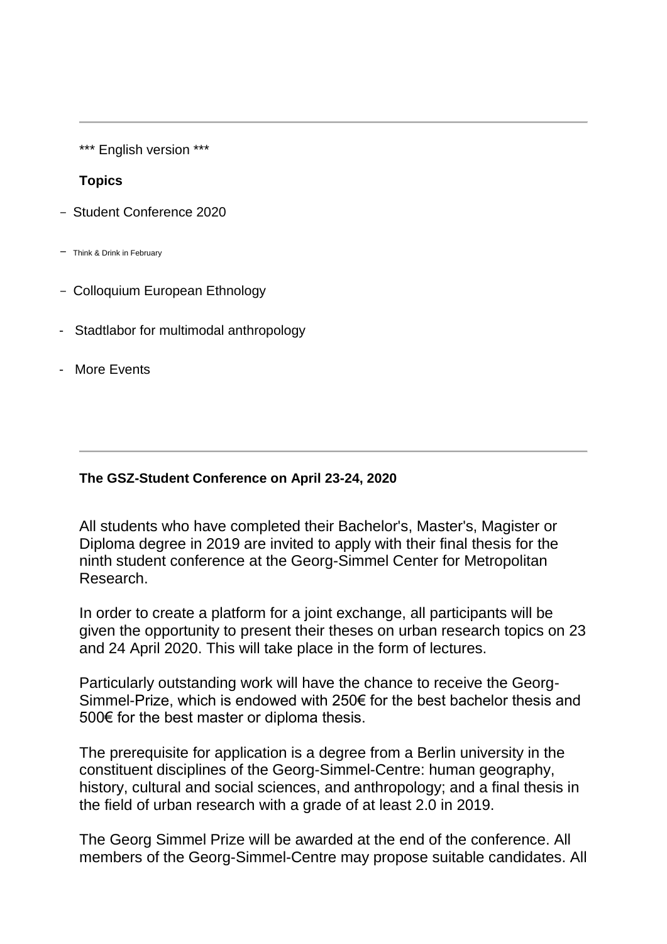\*\*\* English version \*\*\*

#### **Topics**

- Student Conference 2020
- Think & Drink in February
- Colloquium European Ethnology
- Stadtlabor for multimodal anthropology
- More Events

### **The GSZ-Student Conference on April 23-24, 2020**

All students who have completed their Bachelor's, Master's, Magister or Diploma degree in 2019 are invited to apply with their final thesis for the ninth student conference at the Georg-Simmel Center for Metropolitan Research.

In order to create a platform for a joint exchange, all participants will be given the opportunity to present their theses on urban research topics on 23 and 24 April 2020. This will take place in the form of lectures.

Particularly outstanding work will have the chance to receive the Georg-Simmel-Prize, which is endowed with 250€ for the best bachelor thesis and 500€ for the best master or diploma thesis.

The prerequisite for application is a degree from a Berlin university in the constituent disciplines of the Georg-Simmel-Centre: human geography, history, cultural and social sciences, and anthropology; and a final thesis in the field of urban research with a grade of at least 2.0 in 2019.

The Georg Simmel Prize will be awarded at the end of the conference. All members of the Georg-Simmel-Centre may propose suitable candidates. All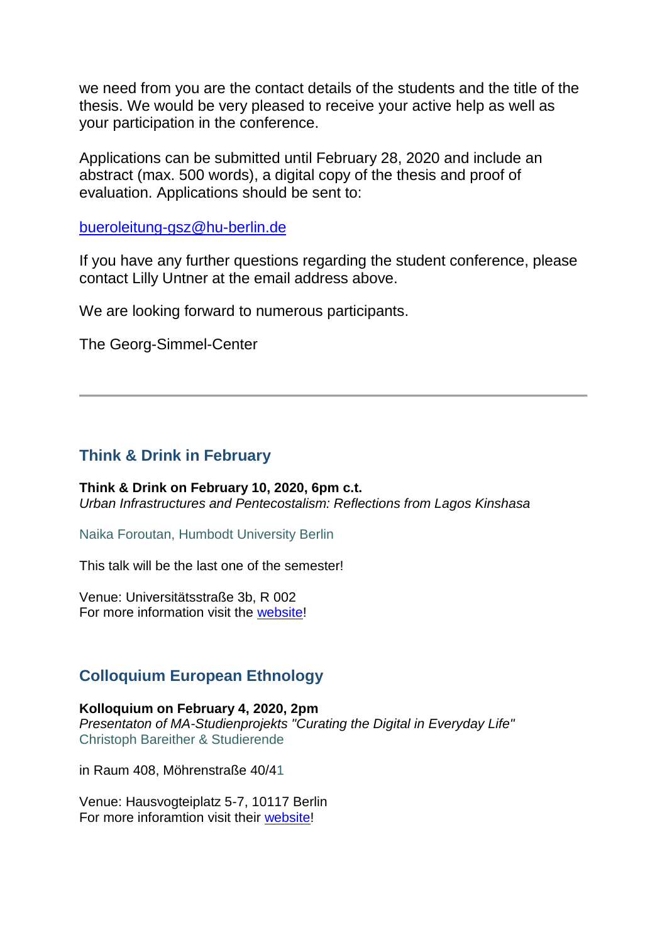we need from you are the contact details of the students and the title of the thesis. We would be very pleased to receive your active help as well as your participation in the conference.

Applications can be submitted until February 28, 2020 and include an abstract (max. 500 words), a digital copy of the thesis and proof of evaluation. Applications should be sent to:

[bueroleitung-gsz@hu-berlin.de](mailto:bueroleitung-gsz@hu-berlin.de)

If you have any further questions regarding the student conference, please contact Lilly Untner at the email address above.

We are looking forward to numerous participants.

The Georg-Simmel-Center

# **Think & Drink in February**

**Think & Drink on February 10, 2020, 6pm c.t.** *Urban Infrastructures and Pentecostalism: Reflections from Lagos Kinshasa*

Naika Foroutan, Humbodt University Berlin

This talk will be the last one of the semester!

Venue: Universitätsstraße 3b, R 002 For more information visit the [website!](https://www.sowi.hu-berlin.de/de/lehrbereiche/stadtsoz/think_drink/wintersemester19)

# **Colloquium European Ethnology**

**Kolloquium on February 4, 2020, 2pm** *Presentaton of MA-Studienprojekts "Curating the Digital in Everyday Life"* Christoph Bareither & Studierende

in Raum 408, Möhrenstraße 40/41

Venue: Hausvogteiplatz 5-7, 10117 Berlin For more inforamtion visit their [website!](https://www.euroethno.hu-berlin.de/de/institut/kolloquium)